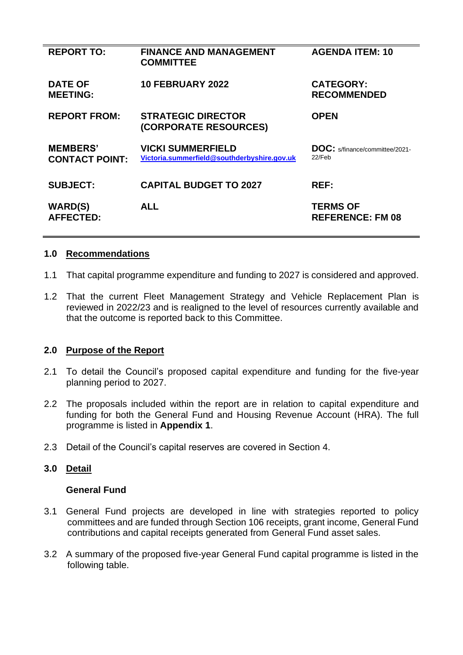| <b>REPORT TO:</b>                        | <b>FINANCE AND MANAGEMENT</b><br><b>COMMITTEE</b>                       | <b>AGENDA ITEM: 10</b>                          |
|------------------------------------------|-------------------------------------------------------------------------|-------------------------------------------------|
| <b>DATE OF</b><br><b>MEETING:</b>        | <b>10 FEBRUARY 2022</b>                                                 | <b>CATEGORY:</b><br><b>RECOMMENDED</b>          |
| <b>REPORT FROM:</b>                      | <b>STRATEGIC DIRECTOR</b><br>(CORPORATE RESOURCES)                      | <b>OPEN</b>                                     |
| <b>MEMBERS'</b><br><b>CONTACT POINT:</b> | <b>VICKI SUMMERFIELD</b><br>Victoria.summerfield@southderbyshire.gov.uk | <b>DOC:</b> s/finance/committee/2021-<br>22/Feb |
| <b>SUBJECT:</b>                          | <b>CAPITAL BUDGET TO 2027</b>                                           | <b>REF:</b>                                     |
| <b>WARD(S)</b><br><b>AFFECTED:</b>       | <b>ALL</b>                                                              | <b>TERMS OF</b><br><b>REFERENCE: FM 08</b>      |

#### **1.0 Recommendations**

- 1.1 That capital programme expenditure and funding to 2027 is considered and approved.
- 1.2 That the current Fleet Management Strategy and Vehicle Replacement Plan is reviewed in 2022/23 and is realigned to the level of resources currently available and that the outcome is reported back to this Committee.

# **2.0 Purpose of the Report**

- 2.1 To detail the Council's proposed capital expenditure and funding for the five-year planning period to 2027.
- 2.2 The proposals included within the report are in relation to capital expenditure and funding for both the General Fund and Housing Revenue Account (HRA). The full programme is listed in **Appendix 1**.
- 2.3 Detail of the Council's capital reserves are covered in Section 4.

#### **3.0 Detail**

#### **General Fund**

- 3.1 General Fund projects are developed in line with strategies reported to policy committees and are funded through Section 106 receipts, grant income, General Fund contributions and capital receipts generated from General Fund asset sales.
- 3.2 A summary of the proposed five-year General Fund capital programme is listed in the following table.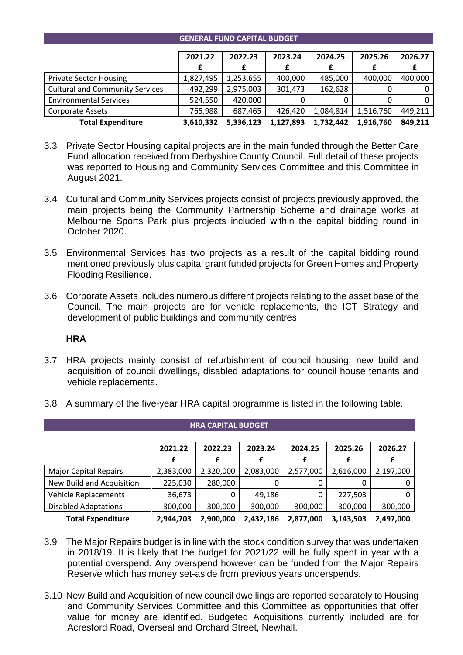#### **GENERAL FUND CAPITAL BUDGET**

|                                        | 2021.22   | 2022.23   | 2023.24   | 2024.25   | 2025.26   | 2026.27 |
|----------------------------------------|-----------|-----------|-----------|-----------|-----------|---------|
|                                        |           |           |           |           |           |         |
| <b>Private Sector Housing</b>          | 1,827,495 | 1,253,655 | 400,000   | 485,000   | 400.000   | 400,000 |
| <b>Cultural and Community Services</b> | 492,299   | 2,975,003 | 301,473   | 162,628   |           | 0       |
| <b>Environmental Services</b>          | 524,550   | 420,000   |           | 0         |           | 0       |
| Corporate Assets                       | 765,988   | 687,465   | 426.420   | 1,084,814 | 1,516,760 | 449,211 |
| <b>Total Expenditure</b>               | 3.610.332 | 5.336.123 | 1,127,893 | 1.732.442 | 1.916.760 | 849,211 |

- 3.3 Private Sector Housing capital projects are in the main funded through the Better Care Fund allocation received from Derbyshire County Council. Full detail of these projects was reported to Housing and Community Services Committee and this Committee in August 2021.
- 3.4 Cultural and Community Services projects consist of projects previously approved, the main projects being the Community Partnership Scheme and drainage works at Melbourne Sports Park plus projects included within the capital bidding round in October 2020.
- 3.5 Environmental Services has two projects as a result of the capital bidding round mentioned previously plus capital grant funded projects for Green Homes and Property Flooding Resilience.
- 3.6 Corporate Assets includes numerous different projects relating to the asset base of the Council. The main projects are for vehicle replacements, the ICT Strategy and development of public buildings and community centres.

#### **HRA**

3.7 HRA projects mainly consist of refurbishment of council housing, new build and acquisition of council dwellings, disabled adaptations for council house tenants and vehicle replacements.

**HRA CAPITAL BUDGET**

|                              | 2021.22   | 2022.23   | 2023.24   | 2024.25   | 2025.26   | 2026.27   |
|------------------------------|-----------|-----------|-----------|-----------|-----------|-----------|
|                              | £         | £         | £         | £         | £         | £         |
| <b>Major Capital Repairs</b> | 2,383,000 | 2,320,000 | 2,083,000 | 2,577,000 | 2,616,000 | 2,197,000 |
| New Build and Acquisition    | 225,030   | 280,000   |           | 0         | 0         |           |
| <b>Vehicle Replacements</b>  | 36,673    | 0         | 49,186    | 0         | 227,503   |           |
| <b>Disabled Adaptations</b>  | 300,000   | 300,000   | 300,000   | 300,000   | 300,000   | 300,000   |
| <b>Total Expenditure</b>     | 2,944,703 | 2,900,000 | 2,432,186 | 2,877,000 | 3,143,503 | 2,497,000 |

3.8 A summary of the five-year HRA capital programme is listed in the following table.

- 3.9 The Major Repairs budget is in line with the stock condition survey that was undertaken in 2018/19. It is likely that the budget for 2021/22 will be fully spent in year with a potential overspend. Any overspend however can be funded from the Major Repairs Reserve which has money set-aside from previous years underspends.
- 3.10 New Build and Acquisition of new council dwellings are reported separately to Housing and Community Services Committee and this Committee as opportunities that offer value for money are identified. Budgeted Acquisitions currently included are for Acresford Road, Overseal and Orchard Street, Newhall.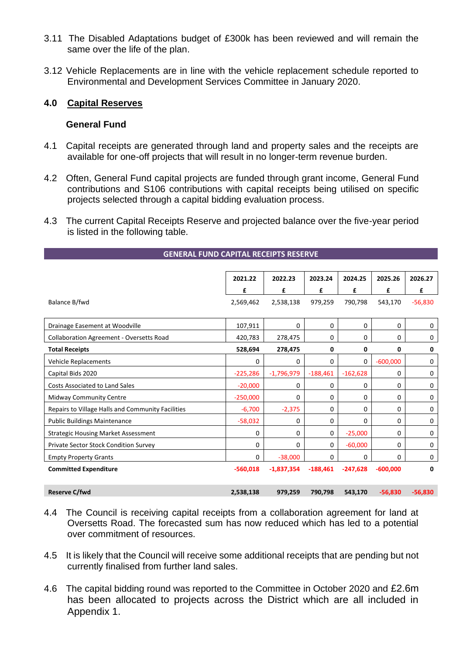- 3.11 The Disabled Adaptations budget of £300k has been reviewed and will remain the same over the life of the plan.
- 3.12 Vehicle Replacements are in line with the vehicle replacement schedule reported to Environmental and Development Services Committee in January 2020.

### **4.0 Capital Reserves**

#### **General Fund**

- 4.1 Capital receipts are generated through land and property sales and the receipts are available for one-off projects that will result in no longer-term revenue burden.
- 4.2 Often, General Fund capital projects are funded through grant income, General Fund contributions and S106 contributions with capital receipts being utilised on specific projects selected through a capital bidding evaluation process.
- 4.3 The current Capital Receipts Reserve and projected balance over the five-year period is listed in the following table.

|                                                   | 2021.22    | 2022.23      | 2023.24    | 2024.25    | 2025.26    | 2026.27   |
|---------------------------------------------------|------------|--------------|------------|------------|------------|-----------|
|                                                   | £          | £            | £          | £          | £          | £         |
| Balance B/fwd                                     | 2,569,462  | 2,538,138    | 979,259    | 790,798    | 543,170    | $-56,830$ |
|                                                   |            |              |            |            |            |           |
| Drainage Easement at Woodville                    | 107,911    | 0            | 0          | 0          | 0          | 0         |
| Collaboration Agreement - Oversetts Road          | 420,783    | 278,475      | 0          | 0          | 0          | 0         |
| <b>Total Receipts</b>                             | 528,694    | 278,475      | 0          | 0          | 0          | 0         |
| Vehicle Replacements                              | 0          | 0            | 0          | 0          | $-600,000$ | 0         |
| Capital Bids 2020                                 | $-225,286$ | $-1,796,979$ | $-188,461$ | $-162,628$ | 0          | 0         |
| <b>Costs Associated to Land Sales</b>             | $-20,000$  | 0            | 0          | 0          | $\Omega$   | 0         |
| <b>Midway Community Centre</b>                    | $-250,000$ | 0            | 0          | 0          | 0          | 0         |
| Repairs to Village Halls and Community Facilities | $-6,700$   | $-2,375$     | 0          | 0          | $\Omega$   | 0         |
| <b>Public Buildings Maintenance</b>               | $-58,032$  | 0            | 0          | 0          | 0          | 0         |
| <b>Strategic Housing Market Assessment</b>        | 0          | 0            | $\Omega$   | $-25,000$  | $\Omega$   | 0         |
| Private Sector Stock Condition Survey             | 0          | 0            | 0          | $-60.000$  | $\Omega$   | 0         |
| <b>Empty Property Grants</b>                      | $\Omega$   | $-38,000$    | 0          | 0          | $\Omega$   | 0         |
| <b>Committed Expenditure</b>                      | $-560,018$ | $-1,837,354$ | $-188.461$ | $-247,628$ | $-600.000$ | 0         |
|                                                   |            |              |            |            |            |           |
| <b>Reserve C/fwd</b>                              | 2,538,138  | 979,259      | 790,798    | 543,170    | $-56,830$  | $-56,830$ |

#### **GENERAL FUND CAPITAL RECEIPTS RESERVE**

- 4.4 The Council is receiving capital receipts from a collaboration agreement for land at Oversetts Road. The forecasted sum has now reduced which has led to a potential over commitment of resources.
- 4.5 It is likely that the Council will receive some additional receipts that are pending but not currently finalised from further land sales.
- 4.6 The capital bidding round was reported to the Committee in October 2020 and £2.6m has been allocated to projects across the District which are all included in Appendix 1.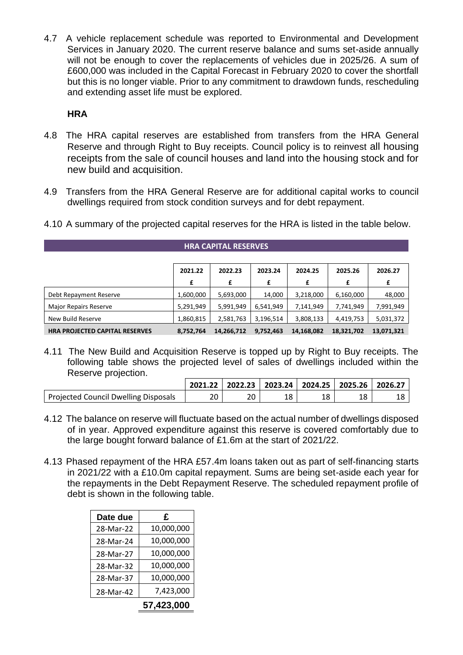4.7 A vehicle replacement schedule was reported to Environmental and Development Services in January 2020. The current reserve balance and sums set-aside annually will not be enough to cover the replacements of vehicles due in 2025/26. A sum of £600,000 was included in the Capital Forecast in February 2020 to cover the shortfall but this is no longer viable. Prior to any commitment to drawdown funds, rescheduling and extending asset life must be explored.

# **HRA**

- 4.8 The HRA capital reserves are established from transfers from the HRA General Reserve and through Right to Buy receipts. Council policy is to reinvest all housing receipts from the sale of council houses and land into the housing stock and for new build and acquisition.
- 4.9 Transfers from the HRA General Reserve are for additional capital works to council dwellings required from stock condition surveys and for debt repayment.

| <b>HRA CAPITAL RESERVES</b>           |           |            |           |            |            |            |  |  |  |  |
|---------------------------------------|-----------|------------|-----------|------------|------------|------------|--|--|--|--|
|                                       |           |            |           |            |            |            |  |  |  |  |
|                                       | 2021.22   | 2022.23    | 2023.24   | 2024.25    | 2025.26    | 2026.27    |  |  |  |  |
|                                       | £         | £          | £         | £          | £          | £          |  |  |  |  |
| Debt Repayment Reserve                | 1,600,000 | 5,693,000  | 14,000    | 3,218,000  | 6,160,000  | 48,000     |  |  |  |  |
| <b>Major Repairs Reserve</b>          | 5,291,949 | 5,991,949  | 6,541,949 | 7,141,949  | 7,741,949  | 7,991,949  |  |  |  |  |
| New Build Reserve                     | 1,860,815 | 2,581,763  | 3,196,514 | 3,808,133  | 4,419,753  | 5,031,372  |  |  |  |  |
| <b>HRA PROJECTED CAPITAL RESERVES</b> | 8,752,764 | 14,266,712 | 9,752,463 | 14,168,082 | 18,321,702 | 13,071,321 |  |  |  |  |

4.10 A summary of the projected capital reserves for the HRA is listed in the table below.

4.11 The New Build and Acquisition Reserve is topped up by Right to Buy receipts. The following table shows the projected level of sales of dwellings included within the Reserve projection.

|                                      |    | 2021.22   2022.23   2023.24   2024.25   2025.26   2026.27 |    |    |     |    |
|--------------------------------------|----|-----------------------------------------------------------|----|----|-----|----|
| Projected Council Dwelling Disposals | 20 | 20                                                        | 18 | 18 | ∣O. | 18 |

- 4.12 The balance on reserve will fluctuate based on the actual number of dwellings disposed of in year. Approved expenditure against this reserve is covered comfortably due to the large bought forward balance of £1.6m at the start of 2021/22.
- 4.13 Phased repayment of the HRA £57.4m loans taken out as part of self-financing starts in 2021/22 with a £10.0m capital repayment. Sums are being set-aside each year for the repayments in the Debt Repayment Reserve. The scheduled repayment profile of debt is shown in the following table.

| Date due  | £          |
|-----------|------------|
| 28-Mar-22 | 10,000,000 |
| 28-Mar-24 | 10,000,000 |
| 28-Mar-27 | 10,000,000 |
| 28-Mar-32 | 10,000,000 |
| 28-Mar-37 | 10,000,000 |
| 28-Mar-42 | 7,423,000  |
|           | 57,423,000 |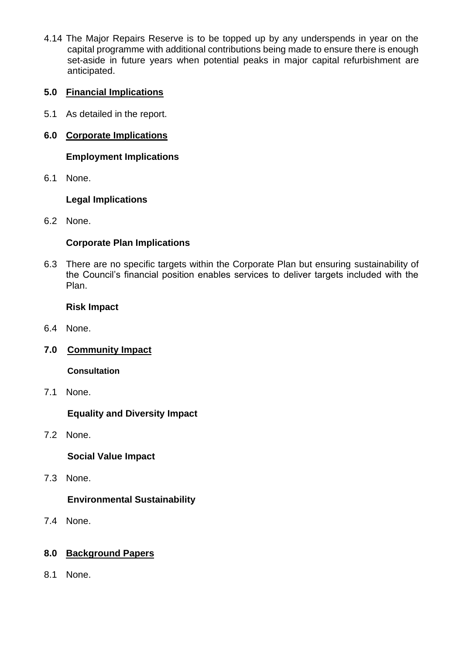4.14 The Major Repairs Reserve is to be topped up by any underspends in year on the capital programme with additional contributions being made to ensure there is enough set-aside in future years when potential peaks in major capital refurbishment are anticipated.

# **5.0 Financial Implications**

- 5.1 As detailed in the report.
- **6.0 Corporate Implications**

**Employment Implications**

6.1 None.

# **Legal Implications**

6.2 None.

# **Corporate Plan Implications**

6.3 There are no specific targets within the Corporate Plan but ensuring sustainability of the Council's financial position enables services to deliver targets included with the Plan.

# **Risk Impact**

- 6.4 None.
- **7.0 Community Impact**

**Consultation**

7.1 None.

**Equality and Diversity Impact**

7.2 None.

**Social Value Impact**

7.3 None.

# **Environmental Sustainability**

7.4 None.

# **8.0 Background Papers**

8.1 None.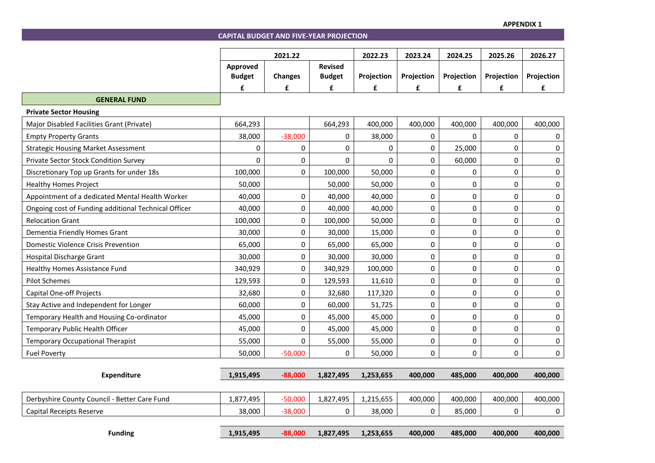**CAPITAL BUDGET AND FIVE-YEAR PROJECTION** 

|                                                      | 2021.22       |                | 2022.23        | 2023.24           | 2024.25    | 2025.26     | 2026.27    |             |
|------------------------------------------------------|---------------|----------------|----------------|-------------------|------------|-------------|------------|-------------|
|                                                      | Approved      |                | <b>Revised</b> |                   |            |             |            |             |
|                                                      | <b>Budget</b> | <b>Changes</b> | <b>Budget</b>  | <b>Projection</b> | Projection | Projection  | Projection | Projection  |
|                                                      | £             | £              | £              | £                 | £          | £           | £          | £           |
| <b>GENERAL FUND</b>                                  |               |                |                |                   |            |             |            |             |
| <b>Private Sector Housing</b>                        |               |                |                |                   |            |             |            |             |
| Major Disabled Facilities Grant (Private)            | 664,293       |                | 664,293        | 400,000           | 400,000    | 400,000     | 400,000    | 400,000     |
| <b>Empty Property Grants</b>                         | 38,000        | $-38,000$      | 0              | 38,000            | 0          | 0           | 0          | $\Omega$    |
| <b>Strategic Housing Market Assessment</b>           | 0             | 0              | 0              | 0                 | 0          | 25,000      | 0          | 0           |
| Private Sector Stock Condition Survey                | $\Omega$      | 0              | 0              | 0                 | 0          | 60,000      | 0          | $\mathbf 0$ |
| Discretionary Top up Grants for under 18s            | 100,000       | 0              | 100,000        | 50,000            | 0          | 0           | 0          | $\mathbf 0$ |
| <b>Healthy Homes Project</b>                         | 50,000        |                | 50,000         | 50,000            | 0          | 0           | 0          | $\mathbf 0$ |
| Appointment of a dedicated Mental Health Worker      | 40,000        | 0              | 40,000         | 40,000            | 0          | $\pmb{0}$   | 0          | $\mathbf 0$ |
| Ongoing cost of Funding additional Technical Officer | 40,000        | 0              | 40,000         | 40,000            | 0          | $\pmb{0}$   | 0          | 0           |
| <b>Relocation Grant</b>                              | 100,000       | 0              | 100,000        | 50,000            | 0          | 0           | 0          | 0           |
| Dementia Friendly Homes Grant                        | 30,000        | $\pmb{0}$      | 30,000         | 15,000            | 0          | $\pmb{0}$   | 0          | $\pmb{0}$   |
| <b>Domestic Violence Crisis Prevention</b>           | 65,000        | 0              | 65,000         | 65,000            | 0          | 0           | 0          | $\pmb{0}$   |
| <b>Hospital Discharge Grant</b>                      | 30,000        | 0              | 30,000         | 30,000            | $\pmb{0}$  | $\mathbf 0$ | 0          | $\pmb{0}$   |
| Healthy Homes Assistance Fund                        | 340,929       | 0              | 340,929        | 100,000           | 0          | $\pmb{0}$   | 0          | $\pmb{0}$   |
| <b>Pilot Schemes</b>                                 | 129,593       | 0              | 129,593        | 11,610            | 0          | 0           | 0          | 0           |
| <b>Capital One-off Projects</b>                      | 32,680        | 0              | 32,680         | 117,320           | 0          | $\pmb{0}$   | 0          | $\mathbf 0$ |
| Stay Active and Independent for Longer               | 60,000        | 0              | 60,000         | 51,725            | 0          | 0           | 0          | 0           |
| Temporary Health and Housing Co-ordinator            | 45,000        | 0              | 45,000         | 45,000            | 0          | $\pmb{0}$   | 0          | $\pmb{0}$   |
| Temporary Public Health Officer                      | 45,000        | 0              | 45,000         | 45,000            | 0          | $\mathbf 0$ | 0          | $\mathbf 0$ |
| <b>Temporary Occupational Therapist</b>              | 55,000        | 0              | 55,000         | 55,000            | 0          | 0           | 0          | 0           |
| <b>Fuel Poverty</b>                                  | 50,000        | $-50,000$      | 0              | 50,000            | $\Omega$   | 0           | 0          | $\mathbf 0$ |
|                                                      |               |                |                |                   |            |             |            |             |
| <b>Expenditure</b>                                   | 1,915,495     | $-88,000$      | 1,827,495      | 1,253,655         | 400,000    | 485,000     | 400,000    | 400,000     |
| Derbyshire County Council - Better Care Fund         | 1,877,495     | $-50,000$      | 1,827,495      | 1,215,655         | 400,000    | 400,000     | 400,000    | 400,000     |
| Capital Receipts Reserve                             | 38,000        | $-38,000$      | 0              | 38,000            | 0          | 85,000      | 0          | 0           |
| <b>Funding</b>                                       | 1,915,495     | $-88,000$      | 1,827,495      | 1,253,655         | 400,000    | 485,000     | 400,000    | 400,000     |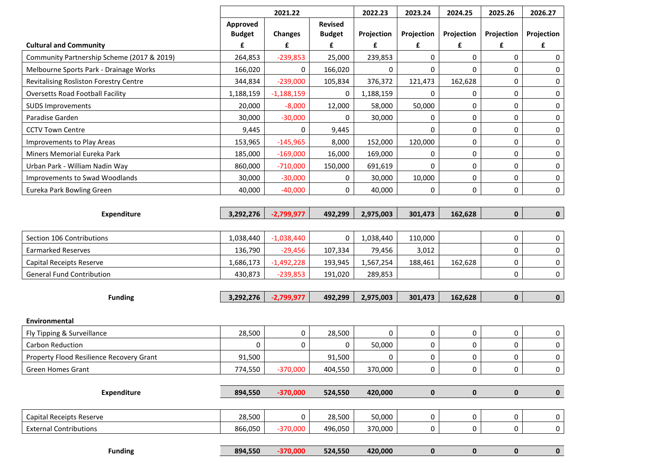|                                            |                           | 2021.22        |                                 | 2022.23     | 2023.24             | 2024.25     | 2025.26     | 2026.27     |
|--------------------------------------------|---------------------------|----------------|---------------------------------|-------------|---------------------|-------------|-------------|-------------|
|                                            | Approved<br><b>Budget</b> | <b>Changes</b> | <b>Revised</b><br><b>Budget</b> | Projection  | Projection          | Projection  | Projection  | Projection  |
| <b>Cultural and Community</b>              | £                         | £              | £                               | £           | £                   | £           | £           | £           |
| Community Partnership Scheme (2017 & 2019) | 264,853                   | $-239,853$     | 25,000                          | 239,853     | $\Omega$            | 0           | 0           | 0           |
| Melbourne Sports Park - Drainage Works     | 166,020                   | 0              | 166,020                         | 0           | 0                   | 0           | 0           | 0           |
| Revitalising Rosliston Forestry Centre     | 344,834                   | $-239,000$     | 105,834                         | 376,372     | 121,473             | 162,628     | 0           | 0           |
| <b>Oversetts Road Football Facility</b>    | 1,188,159                 | $-1,188,159$   | 0                               | 1,188,159   | $\mathbf{0}$        | 0           | 0           | 0           |
| <b>SUDS Improvements</b>                   | 20,000                    | $-8,000$       | 12,000                          | 58,000      | 50,000              | 0           | 0           | 0           |
| Paradise Garden                            | 30,000                    | $-30,000$      | 0                               | 30,000      | 0                   | 0           | 0           | 0           |
| <b>CCTV Town Centre</b>                    | 9,445                     | $\Omega$       | 9,445                           |             | 0                   | 0           | 0           | 0           |
| Improvements to Play Areas                 | 153,965                   | $-145,965$     | 8,000                           | 152,000     | 120,000             | 0           | 0           | 0           |
| Miners Memorial Eureka Park                | 185,000                   | $-169,000$     | 16,000                          | 169,000     | 0                   | 0           | 0           | 0           |
| Urban Park - William Nadin Way             | 860,000                   | $-710,000$     | 150,000                         | 691,619     | $\mathbf{0}$        | 0           | 0           | 0           |
| Improvements to Swad Woodlands             | 30,000                    | $-30,000$      | 0                               | 30,000      | 10,000              | 0           | 0           | 0           |
| Eureka Park Bowling Green                  | 40,000                    | $-40,000$      | 0                               | 40,000      | $\mathbf 0$         | 0           | 0           | 0           |
|                                            |                           |                |                                 |             |                     |             |             |             |
| <b>Expenditure</b>                         | 3,292,276                 | $-2,799,977$   | 492,299                         | 2,975,003   | 301,473             | 162,628     | $\pmb{0}$   | $\mathbf 0$ |
|                                            |                           |                |                                 |             |                     |             |             |             |
| Section 106 Contributions                  | 1,038,440                 | $-1,038,440$   | 0                               | 1,038,440   | 110,000             |             | 0           | 0           |
| <b>Earmarked Reserves</b>                  | 136,790                   | $-29,456$      | 107,334                         | 79,456      | 3,012               |             | 0           | 0           |
| Capital Receipts Reserve                   | 1,686,173                 | $-1,492,228$   | 193,945                         | 1,567,254   | 188,461             | 162,628     | 0           | 0           |
| <b>General Fund Contribution</b>           | 430,873                   | $-239,853$     | 191,020                         | 289,853     |                     |             | 0           | 0           |
|                                            |                           |                |                                 |             |                     |             |             |             |
| <b>Funding</b>                             | 3,292,276                 | $-2,799,977$   | 492,299                         | 2,975,003   | 301,473             | 162,628     | $\mathbf 0$ | $\mathbf 0$ |
|                                            |                           |                |                                 |             |                     |             |             |             |
| <b>Environmental</b>                       |                           |                |                                 |             |                     |             |             |             |
| Fly Tipping & Surveillance                 | 28,500                    | 0              | 28,500                          | $\Omega$    | 0                   | 0           | 0           | 0           |
| <b>Carbon Reduction</b>                    | 0                         | 0              | 0                               | 50,000      | 0                   | 0           | 0           | 0           |
| Property Flood Resilience Recovery Grant   | 91,500                    |                | 91,500                          | $\mathbf 0$ | $\mathsf{O}\xspace$ | 0           | 0           | 0           |
| Green Homes Grant                          | 774,550                   | $-370,000$     | 404,550                         | 370,000     | 0                   | 0           | 0           | $\mathbf 0$ |
|                                            |                           |                |                                 |             |                     |             |             |             |
| <b>Expenditure</b>                         | 894,550                   | $-370,000$     | 524,550                         | 420,000     | $\pmb{0}$           | $\pmb{0}$   | $\pmb{0}$   | $\mathbf 0$ |
|                                            |                           |                |                                 |             |                     |             |             |             |
| Capital Receipts Reserve                   | 28,500                    | 0              | 28,500                          | 50,000      | $\mathbf 0$         | $\pmb{0}$   | 0           | 0           |
| <b>External Contributions</b>              | 866,050                   | $-370,000$     | 496,050                         | 370,000     | $\mathsf{O}$        | 0           | 0           | $\mathbf 0$ |
| <b>Funding</b>                             | 894,550                   | $-370,000$     | 524,550                         | 420,000     | $\mathbf 0$         | $\mathbf 0$ | $\mathbf 0$ | $\mathbf 0$ |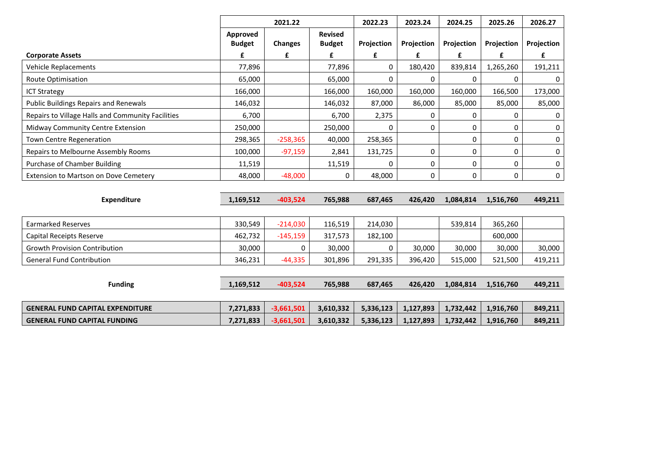|                                                   | 2021.22                   |                | 2022.23                         | 2023.24    | 2024.25    | 2025.26    | 2026.27    |             |
|---------------------------------------------------|---------------------------|----------------|---------------------------------|------------|------------|------------|------------|-------------|
|                                                   | Approved<br><b>Budget</b> | <b>Changes</b> | <b>Revised</b><br><b>Budget</b> | Projection | Projection | Projection | Projection | Projection  |
| <b>Corporate Assets</b>                           | £                         | £              | £                               | £          | £          | £          | £          | £           |
| <b>Vehicle Replacements</b>                       | 77,896                    |                | 77,896                          | 0          | 180,420    | 839,814    | 1,265,260  | 191,211     |
| <b>Route Optimisation</b>                         | 65,000                    |                | 65,000                          | 0          | 0          | 0          | 0          | 0           |
| <b>ICT Strategy</b>                               | 166,000                   |                | 166,000                         | 160,000    | 160,000    | 160,000    | 166,500    | 173,000     |
| <b>Public Buildings Repairs and Renewals</b>      | 146,032                   |                | 146,032                         | 87,000     | 86,000     | 85,000     | 85,000     | 85,000      |
| Repairs to Village Halls and Community Facilities | 6,700                     |                | 6,700                           | 2,375      | 0          | 0          | 0          | 0           |
| Midway Community Centre Extension                 | 250,000                   |                | 250,000                         | n          | 0          | 0          | 0          | 0           |
| Town Centre Regeneration                          | 298,365                   | $-258,365$     | 40,000                          | 258,365    |            | 0          | 0          | 0           |
| Repairs to Melbourne Assembly Rooms               | 100,000                   | $-97,159$      | 2,841                           | 131,725    | 0          | 0          | 0          | 0           |
| <b>Purchase of Chamber Building</b>               | 11,519                    |                | 11,519                          | 0          | 0          | 0          | 0          | 0           |
| Extension to Martson on Dove Cemetery             | 48,000                    | $-48,000$      | 0                               | 48,000     | 0          | 0          | 0          | $\mathbf 0$ |
|                                                   |                           |                |                                 |            |            |            |            |             |
| <b>Expenditure</b>                                | 1,169,512                 | $-403,524$     | 765,988                         | 687,465    | 426,420    | 1,084,814  | 1,516,760  | 449,211     |
|                                                   |                           |                |                                 |            |            |            |            |             |
| <b>Earmarked Reserves</b>                         | 330,549                   | $-214,030$     | 116,519                         | 214,030    |            | 539,814    | 365,260    |             |
| Capital Receipts Reserve                          | 462,732                   | $-145,159$     | 317,573                         | 182,100    |            |            | 600,000    |             |
| <b>Growth Provision Contribution</b>              | 30,000                    | 0              | 30,000                          | 0          | 30,000     | 30,000     | 30,000     | 30,000      |
| <b>General Fund Contribution</b>                  | 346,231                   | $-44,335$      | 301,896                         | 291,335    | 396,420    | 515,000    | 521,500    | 419,211     |
|                                                   |                           |                |                                 |            |            |            |            |             |
| <b>Funding</b>                                    | 1,169,512                 | $-403,524$     | 765,988                         | 687,465    | 426,420    | 1,084,814  | 1,516,760  | 449,211     |
|                                                   |                           |                |                                 |            |            |            |            |             |
| <b>GENERAL FUND CAPITAL EXPENDITURE</b>           | 7,271,833                 | $-3,661,501$   | 3,610,332                       | 5,336,123  | 1,127,893  | 1,732,442  | 1,916,760  | 849,211     |
| <b>GENERAL FUND CAPITAL FUNDING</b>               | 7,271,833                 | $-3,661,501$   | 3,610,332                       | 5,336,123  | 1,127,893  | 1,732,442  | 1,916,760  | 849,211     |